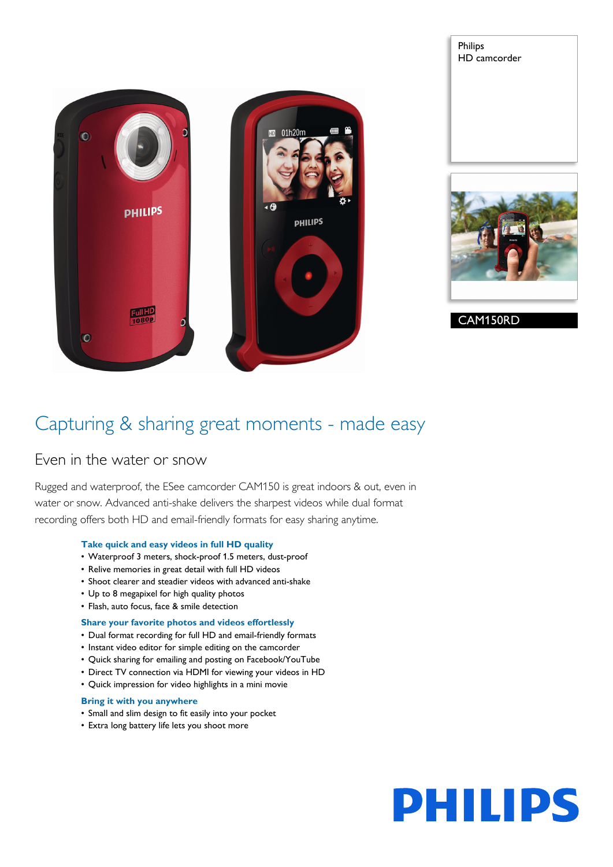



CAM150RD

Philips

HD camcorder

### Capturing & sharing great moments - made easy

### Even in the water or snow

Rugged and waterproof, the ESee camcorder CAM150 is great indoors & out, even in water or snow. Advanced anti-shake delivers the sharpest videos while dual format recording offers both HD and email-friendly formats for easy sharing anytime.

#### **Take quick and easy videos in full HD quality**

- Waterproof 3 meters, shock-proof 1.5 meters, dust-proof
- Relive memories in great detail with full HD videos
- Shoot clearer and steadier videos with advanced anti-shake
- Up to 8 megapixel for high quality photos
- Flash, auto focus, face & smile detection

#### **Share your favorite photos and videos effortlessly**

- Dual format recording for full HD and email-friendly formats
- Instant video editor for simple editing on the camcorder
- Quick sharing for emailing and posting on Facebook/YouTube
- Direct TV connection via HDMI for viewing your videos in HD
- Quick impression for video highlights in a mini movie

#### **Bring it with you anywhere**

- Small and slim design to fit easily into your pocket
- Extra long battery life lets you shoot more

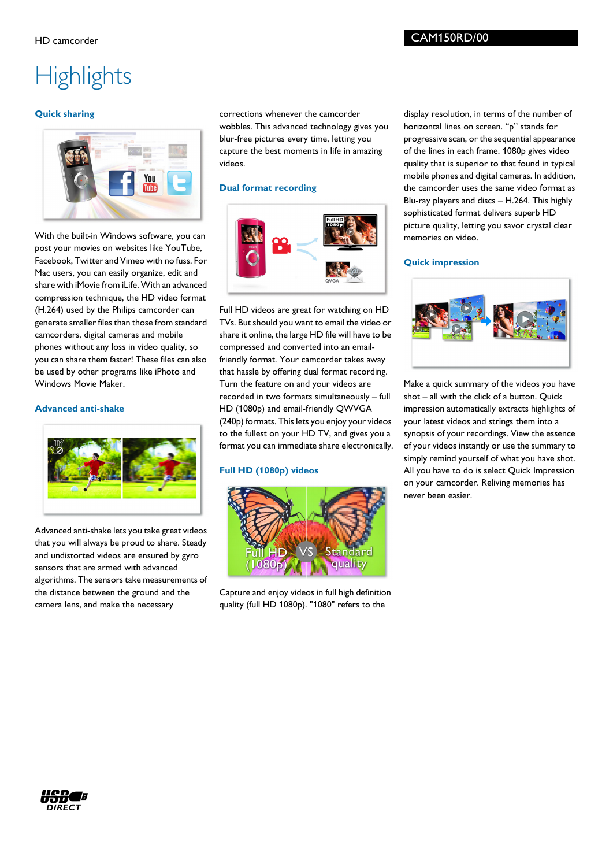# **Highlights**

#### **Quick sharing**



With the built-in Windows software, you can post your movies on websites like YouTube, Facebook, Twitter and Vimeo with no fuss. For Mac users, you can easily organize, edit and share with iMovie from iLife. With an advanced compression technique, the HD video format (H.264) used by the Philips camcorder can generate smaller files than those from standard camcorders, digital cameras and mobile phones without any loss in video quality, so you can share them faster! These files can also be used by other programs like iPhoto and Windows Movie Maker.

#### **Advanced anti-shake**



Advanced anti-shake lets you take great videos that you will always be proud to share. Steady and undistorted videos are ensured by gyro sensors that are armed with advanced algorithms. The sensors take measurements of the distance between the ground and the camera lens, and make the necessary

corrections whenever the camcorder wobbles. This advanced technology gives you blur-free pictures every time, letting you capture the best moments in life in amazing videos.

#### **Dual format recording**



Full HD videos are great for watching on HD TVs. But should you want to email the video or share it online, the large HD file will have to be compressed and converted into an emailfriendly format. Your camcorder takes away that hassle by offering dual format recording. Turn the feature on and your videos are recorded in two formats simultaneously – full HD (1080p) and email-friendly QWVGA (240p) formats. This lets you enjoy your videos to the fullest on your HD TV, and gives you a format you can immediate share electronically.

#### **Full HD (1080p) videos**



Capture and enjoy videos in full high definition quality (full HD 1080p). "1080" refers to the

display resolution, in terms of the number of horizontal lines on screen. "p" stands for progressive scan, or the sequential appearance of the lines in each frame. 1080p gives video quality that is superior to that found in typical mobile phones and digital cameras. In addition, the camcorder uses the same video format as Blu-ray players and discs – H.264. This highly sophisticated format delivers superb HD picture quality, letting you savor crystal clear memories on video.

#### **Quick impression**



Make a quick summary of the videos you have shot – all with the click of a button. Quick impression automatically extracts highlights of your latest videos and strings them into a synopsis of your recordings. View the essence of your videos instantly or use the summary to simply remind yourself of what you have shot. All you have to do is select Quick Impression on your camcorder. Reliving memories has never been easier.